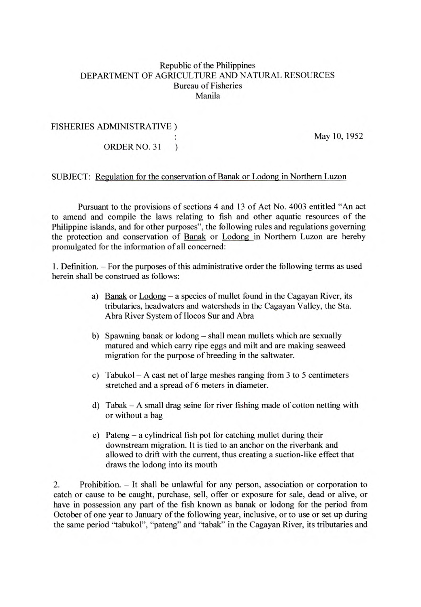## Republic of the Philippines DEPARTMENT OF AGRICULTURE AND NATURAL RESOURCES Bureau of Fisheries Manila

## FISHERIES ADMINISTRATIVE)

May 10, *1952* 

ORDER NO. 31  $\rightarrow$ 

## SUBJECT: Regulation for the conservation of Banak or Lodong in Northern Luzon

Pursuant to the provisions of sections 4 and 13 of Act No. 4003 entitled "An act to amend and compile the laws relating to fish and other aquatic resources of the Philippine islands, and for other purposes", the following rules and regulations governing the protection and conservation of Banak or Lodong in Northern Luzon are hereby promulgated for the information of all concerned:

1. Definition. - For the purposes of this administrative order the following terms as used herein shall be construed as follows:

- a) Banak or Lodong a species of mullet found in the Cagayan River, its tributaries, headwaters and watersheds in the Cagayan Valley, the Sta. Abra River System of Ilocos Sur and Abra
- b) Spawning banak or lodong shall mean mullets which are sexually matured and which carry ripe eggs and milt and are making seaweed migration for the purpose of breeding in the saltwater.
- c) Tabukol A cast net of large meshes ranging from 3 to 5 centimeters stretched and a spread of 6 meters in diameter.
- d) Tabak A small drag seine for river fishing made of cotton netting with or without a bag
- e) Pateng a cylindrical fish pot for catching mullet during their downstream migration. It is tied to an anchor on the riverbank and allowed to drift with the current, thus creating a suction-like effect that draws the lodong into its mouth

2. Prohibition. - It shall be unlawful for any person, association or corporation to catch or cause to be caught, purchase, sell, offer or exposure for sale, dead or alive, or have in possession any part of the fish known as banak or lodong for the period from October of one year to January of the following year, inclusive, or to use or set up during the same period "tabukol", "pateng" and "tabak" in the Cagayan River, its tributaries and